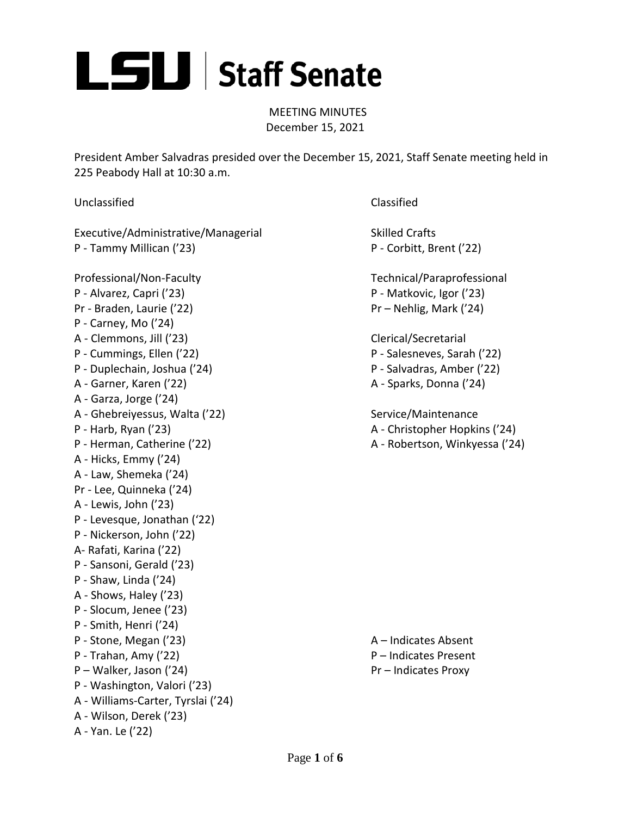

MEETING MINUTES December 15, 2021

President Amber Salvadras presided over the December 15, 2021, Staff Senate meeting held in 225 Peabody Hall at 10:30 a.m.

Unclassified Classified

Executive/Administrative/Managerial Skilled Crafts P - Tammy Millican ('23) P - Corbitt, Brent ('22)

Professional/Non-Faculty Technical/Paraprofessional P - Alvarez, Capri ('23) P - Matkovic, Igor ('23) Pr - Braden, Laurie ('22) Pr – Nehlig, Mark ('24) P - Carney, Mo ('24) A - Clemmons, Jill ('23) Clerical/Secretarial P - Cummings, Ellen ('22) P - Salesneves, Sarah ('22) P - Duplechain, Joshua ('24) P - Salvadras, Amber ('22) A - Garner, Karen ('22) A - Sparks, Donna ('24) A - Garza, Jorge ('24) A - Ghebreiyessus, Walta ('22) Service/Maintenance P - Harb, Ryan ('23) A - Christopher Hopkins ('24) P - Herman, Catherine ('22) A - Robertson, Winkyessa ('24) A - Hicks, Emmy ('24) A - Law, Shemeka ('24) Pr - Lee, Quinneka ('24) A - Lewis, John ('23) P - Levesque, Jonathan ('22) P - Nickerson, John ('22) A- Rafati, Karina ('22) P - Sansoni, Gerald ('23) P - Shaw, Linda ('24) A - Shows, Haley ('23) P - Slocum, Jenee ('23) P - Smith, Henri ('24) P - Stone, Megan ('23) A – Indicates Absent P - Trahan, Amy ('22) P – Indicates Present P – Walker, Jason ('24) Pr – Indicates Proxy P - Washington, Valori ('23) A - Williams-Carter, Tyrslai ('24) A - Wilson, Derek ('23) A - Yan. Le ('22)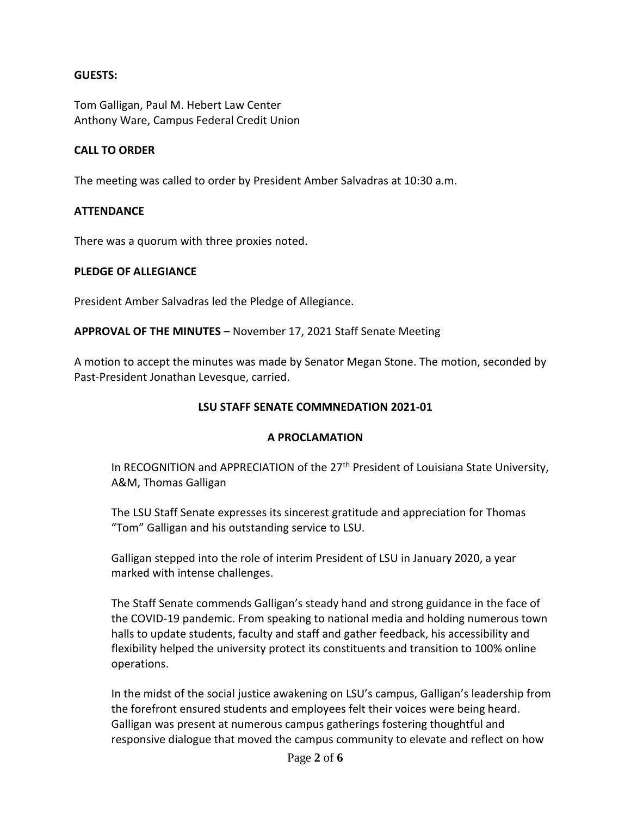#### **GUESTS:**

Tom Galligan, Paul M. Hebert Law Center Anthony Ware, Campus Federal Credit Union

#### **CALL TO ORDER**

The meeting was called to order by President Amber Salvadras at 10:30 a.m.

#### **ATTENDANCE**

There was a quorum with three proxies noted.

#### **PLEDGE OF ALLEGIANCE**

President Amber Salvadras led the Pledge of Allegiance.

**APPROVAL OF THE MINUTES** – November 17, 2021 Staff Senate Meeting

A motion to accept the minutes was made by Senator Megan Stone. The motion, seconded by Past-President Jonathan Levesque, carried.

#### **LSU STAFF SENATE COMMNEDATION 2021-01**

#### **A PROCLAMATION**

In RECOGNITION and APPRECIATION of the 27<sup>th</sup> President of Louisiana State University, A&M, Thomas Galligan

The LSU Staff Senate expresses its sincerest gratitude and appreciation for Thomas "Tom" Galligan and his outstanding service to LSU.

Galligan stepped into the role of interim President of LSU in January 2020, a year marked with intense challenges.

The Staff Senate commends Galligan's steady hand and strong guidance in the face of the COVID-19 pandemic. From speaking to national media and holding numerous town halls to update students, faculty and staff and gather feedback, his accessibility and flexibility helped the university protect its constituents and transition to 100% online operations.

In the midst of the social justice awakening on LSU's campus, Galligan's leadership from the forefront ensured students and employees felt their voices were being heard. Galligan was present at numerous campus gatherings fostering thoughtful and responsive dialogue that moved the campus community to elevate and reflect on how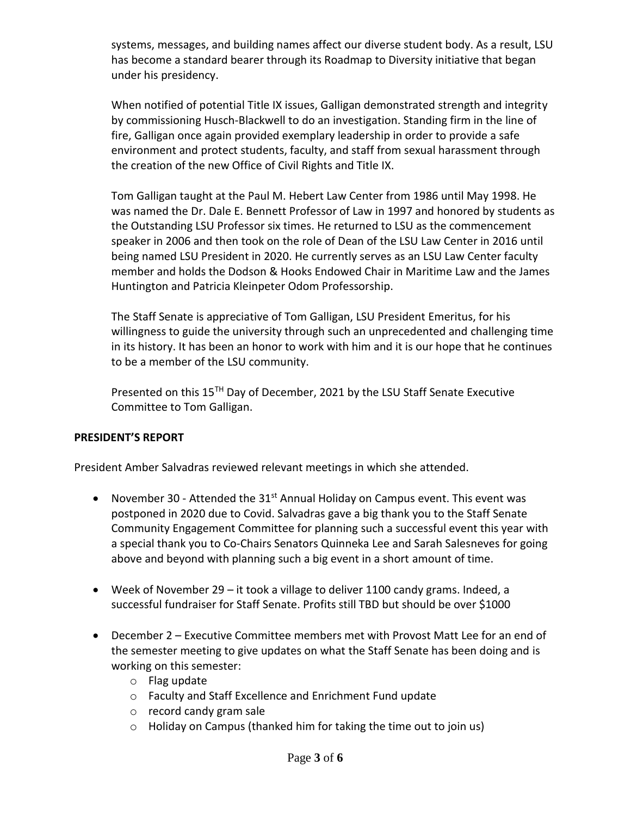systems, messages, and building names affect our diverse student body. As a result, LSU has become a standard bearer through its Roadmap to Diversity initiative that began under his presidency.

When notified of potential Title IX issues, Galligan demonstrated strength and integrity by commissioning Husch-Blackwell to do an investigation. Standing firm in the line of fire, Galligan once again provided exemplary leadership in order to provide a safe environment and protect students, faculty, and staff from sexual harassment through the creation of the new Office of Civil Rights and Title IX.

Tom Galligan taught at the Paul M. Hebert Law Center from 1986 until May 1998. He was named the Dr. Dale E. Bennett Professor of Law in 1997 and honored by students as the Outstanding LSU Professor six times. He returned to LSU as the commencement speaker in 2006 and then took on the role of Dean of the LSU Law Center in 2016 until being named LSU President in 2020. He currently serves as an LSU Law Center faculty member and holds the Dodson & Hooks Endowed Chair in Maritime Law and the James Huntington and Patricia Kleinpeter Odom Professorship.

The Staff Senate is appreciative of Tom Galligan, LSU President Emeritus, for his willingness to guide the university through such an unprecedented and challenging time in its history. It has been an honor to work with him and it is our hope that he continues to be a member of the LSU community.

Presented on this 15<sup>TH</sup> Day of December, 2021 by the LSU Staff Senate Executive Committee to Tom Galligan.

## **PRESIDENT'S REPORT**

President Amber Salvadras reviewed relevant meetings in which she attended.

- November 30 Attended the  $31<sup>st</sup>$  Annual Holiday on Campus event. This event was postponed in 2020 due to Covid. Salvadras gave a big thank you to the Staff Senate Community Engagement Committee for planning such a successful event this year with a special thank you to Co-Chairs Senators Quinneka Lee and Sarah Salesneves for going above and beyond with planning such a big event in a short amount of time.
- Week of November 29 it took a village to deliver 1100 candy grams. Indeed, a successful fundraiser for Staff Senate. Profits still TBD but should be over \$1000
- December 2 Executive Committee members met with Provost Matt Lee for an end of the semester meeting to give updates on what the Staff Senate has been doing and is working on this semester:
	- o Flag update
	- o Faculty and Staff Excellence and Enrichment Fund update
	- o record candy gram sale
	- o Holiday on Campus (thanked him for taking the time out to join us)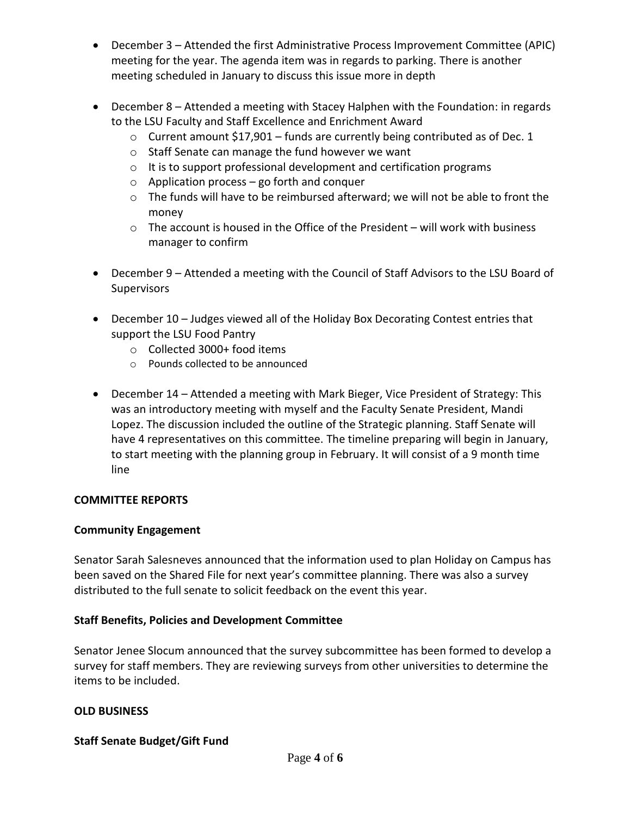- December 3 Attended the first Administrative Process Improvement Committee (APIC) meeting for the year. The agenda item was in regards to parking. There is another meeting scheduled in January to discuss this issue more in depth
- December 8 Attended a meeting with Stacey Halphen with the Foundation: in regards to the LSU Faculty and Staff Excellence and Enrichment Award
	- $\circ$  Current amount \$17,901 funds are currently being contributed as of Dec. 1
	- o Staff Senate can manage the fund however we want
	- o It is to support professional development and certification programs
	- $\circ$  Application process go forth and conquer
	- o The funds will have to be reimbursed afterward; we will not be able to front the money
	- $\circ$  The account is housed in the Office of the President will work with business manager to confirm
- December 9 Attended a meeting with the Council of Staff Advisors to the LSU Board of **Supervisors**
- December 10 Judges viewed all of the Holiday Box Decorating Contest entries that support the LSU Food Pantry
	- o Collected 3000+ food items
	- o Pounds collected to be announced
- December 14 Attended a meeting with Mark Bieger, Vice President of Strategy: This was an introductory meeting with myself and the Faculty Senate President, Mandi Lopez. The discussion included the outline of the Strategic planning. Staff Senate will have 4 representatives on this committee. The timeline preparing will begin in January, to start meeting with the planning group in February. It will consist of a 9 month time line

## **COMMITTEE REPORTS**

## **Community Engagement**

Senator Sarah Salesneves announced that the information used to plan Holiday on Campus has been saved on the Shared File for next year's committee planning. There was also a survey distributed to the full senate to solicit feedback on the event this year.

## **Staff Benefits, Policies and Development Committee**

Senator Jenee Slocum announced that the survey subcommittee has been formed to develop a survey for staff members. They are reviewing surveys from other universities to determine the items to be included.

## **OLD BUSINESS**

## **Staff Senate Budget/Gift Fund**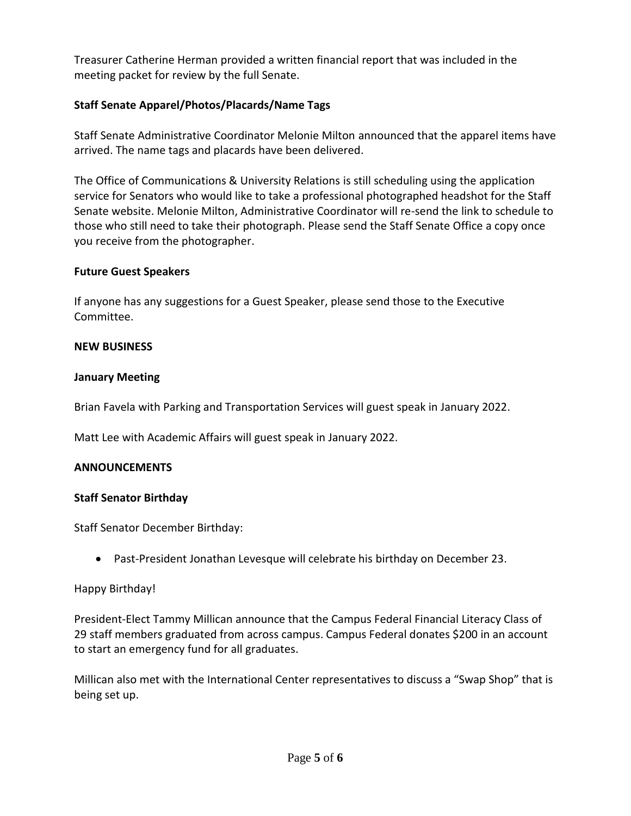Treasurer Catherine Herman provided a written financial report that was included in the meeting packet for review by the full Senate.

# **Staff Senate Apparel/Photos/Placards/Name Tags**

Staff Senate Administrative Coordinator Melonie Milton announced that the apparel items have arrived. The name tags and placards have been delivered.

The Office of Communications & University Relations is still scheduling using the application service for Senators who would like to take a professional photographed headshot for the Staff Senate website. Melonie Milton, Administrative Coordinator will re-send the link to schedule to those who still need to take their photograph. Please send the Staff Senate Office a copy once you receive from the photographer.

## **Future Guest Speakers**

If anyone has any suggestions for a Guest Speaker, please send those to the Executive Committee.

#### **NEW BUSINESS**

#### **January Meeting**

Brian Favela with Parking and Transportation Services will guest speak in January 2022.

Matt Lee with Academic Affairs will guest speak in January 2022.

## **ANNOUNCEMENTS**

## **Staff Senator Birthday**

Staff Senator December Birthday:

Past-President Jonathan Levesque will celebrate his birthday on December 23.

## Happy Birthday!

President-Elect Tammy Millican announce that the Campus Federal Financial Literacy Class of 29 staff members graduated from across campus. Campus Federal donates \$200 in an account to start an emergency fund for all graduates.

Millican also met with the International Center representatives to discuss a "Swap Shop" that is being set up.